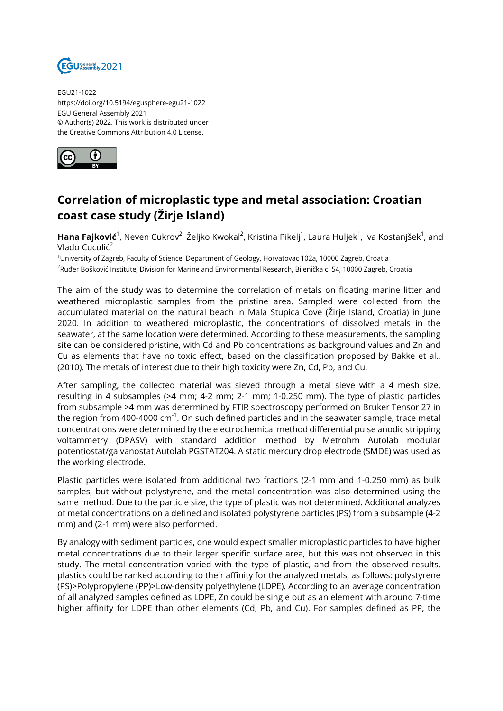

EGU21-1022 https://doi.org/10.5194/egusphere-egu21-1022 EGU General Assembly 2021 © Author(s) 2022. This work is distributed under the Creative Commons Attribution 4.0 License.



## **Correlation of microplastic type and metal association: Croatian coast case study (Žirje Island)**

**Hana Fajković**<sup>1</sup>, Neven Cukrov<sup>2</sup>, Željko Kwokal<sup>2</sup>, Kristina Pikelj<sup>1</sup>, Laura Huljek<sup>1</sup>, Iva Kostanjšek<sup>1</sup>, and Vlado Cuculić<sup>2</sup>

<sup>1</sup>University of Zagreb, Faculty of Science, Department of Geology, Horvatovac 102a, 10000 Zagreb, Croatia <sup>2</sup>Ruđer Bošković Institute, Division for Marine and Environmental Research, Bijenička c. 54, 10000 Zagreb, Croatia

The aim of the study was to determine the correlation of metals on floating marine litter and weathered microplastic samples from the pristine area. Sampled were collected from the accumulated material on the natural beach in Mala Stupica Cove (Žirje Island, Croatia) in June 2020. In addition to weathered microplastic, the concentrations of dissolved metals in the seawater, at the same location were determined. According to these measurements, the sampling site can be considered pristine, with Cd and Pb concentrations as background values and Zn and Cu as elements that have no toxic effect, based on the classification proposed by Bakke et al., (2010). The metals of interest due to their high toxicity were Zn, Cd, Pb, and Cu.

After sampling, the collected material was sieved through a metal sieve with a 4 mesh size, resulting in 4 subsamples (>4 mm; 4-2 mm; 2-1 mm; 1-0.250 mm). The type of plastic particles from subsample >4 mm was determined by FTIR spectroscopy performed on Bruker Tensor 27 in the region from 400-4000  $cm^{-1}$ . On such defined particles and in the seawater sample, trace metal concentrations were determined by the electrochemical method differential pulse anodic stripping voltammetry (DPASV) with standard addition method by Metrohm Autolab modular potentiostat/galvanostat Autolab PGSTAT204. A static mercury drop electrode (SMDE) was used as the working electrode.

Plastic particles were isolated from additional two fractions (2-1 mm and 1-0.250 mm) as bulk samples, but without polystyrene, and the metal concentration was also determined using the same method. Due to the particle size, the type of plastic was not determined. Additional analyzes of metal concentrations on a defined and isolated polystyrene particles (PS) from a subsample (4-2 mm) and (2-1 mm) were also performed.

By analogy with sediment particles, one would expect smaller microplastic particles to have higher metal concentrations due to their larger specific surface area, but this was not observed in this study. The metal concentration varied with the type of plastic, and from the observed results, plastics could be ranked according to their affinity for the analyzed metals, as follows: polystyrene (PS)>Polypropylene (PP)>Low-density polyethylene (LDPE). According to an average concentration of all analyzed samples defined as LDPE, Zn could be single out as an element with around 7-time higher affinity for LDPE than other elements (Cd, Pb, and Cu). For samples defined as PP, the